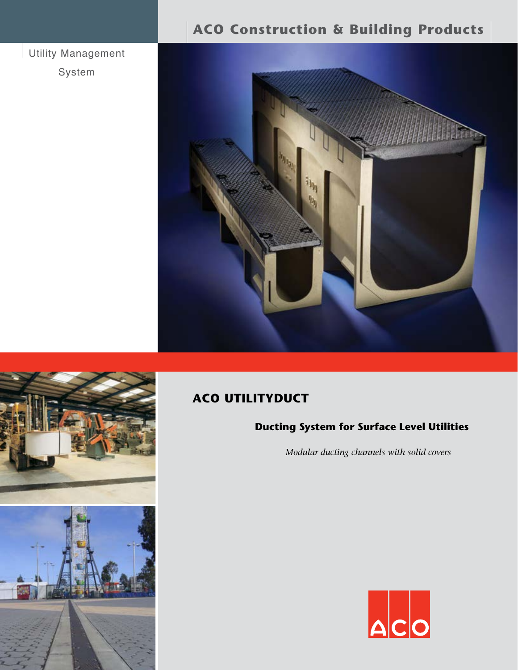## Utility Management |

System

# **ACO Construction & Building Products**





# **ACO UTILITYDUCT**

## **Ducting System for Surface Level Utilities**

*Modular ducting channels with solid covers* 

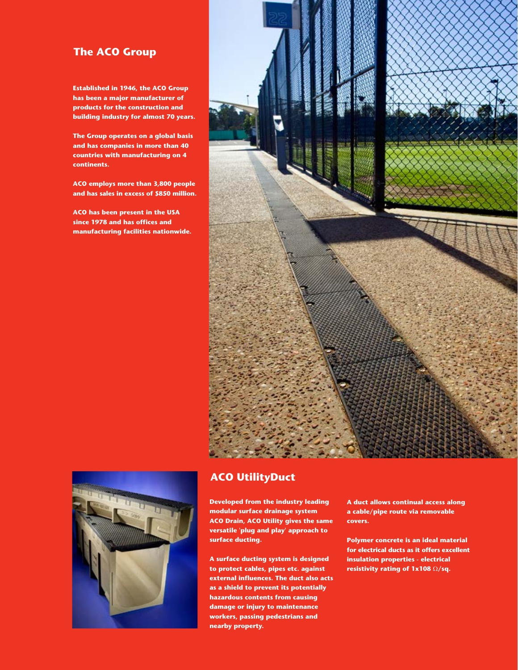## **The ACO Group**

**Established in 1946, the ACO Group has been a major manufacturer of products for the construction and building industry for almost 70 years.** 

**The Group operates on a global basis** and has companies in more than 40 **countries with manufacturing on 4 .continents**

**ACO** employs more than 3,800 people and has sales in excess of \$850 million.

**ACO** has been present in the USA since 1978 and has offices and **manufacturing facilities nationwide.** 





## **UtilityDuct ACO**

**Developed from the industry leading modular surface drainage system ACO Drain, ACO Utility gives the same versatile 'plug and play' approach to** surface ducting.

**A surface ducting system is designed** to protect cables, pipes etc. against **external influences. The duct also acts** as a shield to prevent its potentially **hazardous contents from causing damage or injury to maintenance workers, passing pedestrians and nearby** property.

**A duct allows continual access along a cable/pipe route via removable .covers**

**Polymer concrete is an ideal material for electrical ducts as it offers excellent insulation properties - electrical resistivity rating of 1x108** Ω/sq.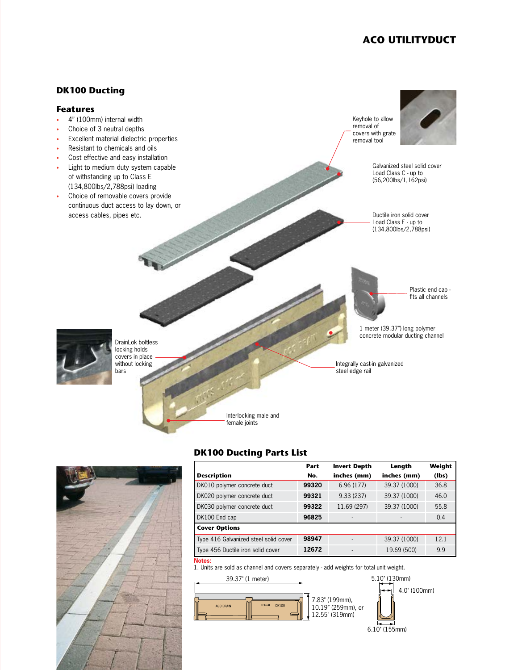## **ACO UTILITYDUCT**



## **DK100 Ducting Parts List**



1. Units are sold as channel and covers separately - add weights for total unit weight.



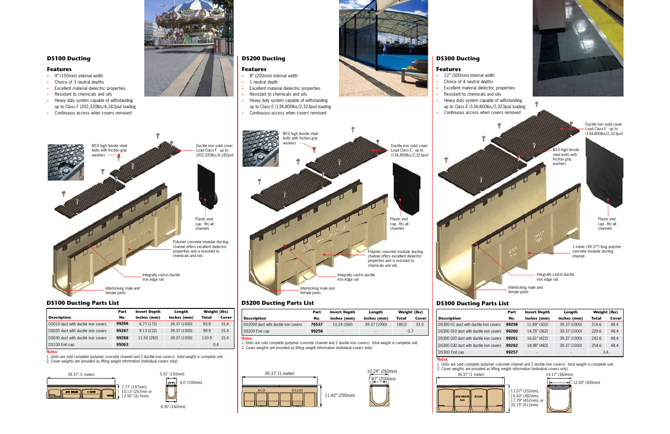## **Features**

- 12" (300mm) internal width
- Choice of 4 neutral depths
- Excellent material dielectric properties
- Resistant to chemicals and oils
- Heavy duty system capable of withstanding
- 

1 meter (39.37") long polymer concrete modular ducting channel

Integrally cast-in ductile iron edge rail

Interlocking male and female joints

|                                     | Part  | <b>Invert Depth</b>      | Length       | Weight (lbs) |                    |
|-------------------------------------|-------|--------------------------|--------------|--------------|--------------------|
| <b>Description</b>                  | No.   | inches (mm)              | inches (mm)  | <b>Total</b> | Cover <sup>2</sup> |
| DS010 duct with ductile iron covers | 99266 | 6.77(172)                | 39.37 (1000) | 83.9         | 15.4               |
| DS020 duct with ductile iron covers | 99267 | 9.13(232)                | 39.37 (1000) | 99.9         | 15.4               |
| DS030 duct with ductile iron covers | 99268 | 11.50 (292)              | 39.37 (1000) | 110.9        | 15.4               |
| DS100 End cap                       | 95063 | $\overline{\phantom{a}}$ | -            | 0.4          |                    |



## **DS200 Ducting**

|                                         | Part  | <b>Invert Depth</b>      | Length       | Weight (lbs) |                    |
|-----------------------------------------|-------|--------------------------|--------------|--------------|--------------------|
| <b>Description</b>                      | No.   | inches (mm)              | inches (mm)  | <b>Total</b> | Cover <sup>2</sup> |
| DS300.01 duct with ductile iron covers  | 99258 | 11.89" (302)             | 39.37 (1000) | 216.6        | 48.4               |
| DS300 010 duct with ductile iron covers | 99260 | 14.25" (362)             | 39.37 (1000) | 229.6        | 48.4               |
| DS300 020 duct with ductile iron covers | 99261 | 16.61" (422)             | 39.37 (1000) | 242.6        | 48.4               |
| DS300 030 duct with ductile iron covers | 99262 | 18.98" (482)             | 39.37 (1000) | 254.6        | 48.4               |
| DS300 End cap                           | 99257 | $\overline{\phantom{a}}$ |              | 3.4          |                    |

1. Units are sold complete (polymer concrete channel and 2 ductile iron covers) - total weight is complete unit. 2. Cover weights are provided as lifting weight information (individual covers only).



13.07" (332mm), 15.43" (392mm). 17.79" (452mm), or 20.15" (512mm)

M10 high tensile steel bolts with friction grip washers

up to Class E (134,800lbs/2,323psi) loading Continuous access when covers removed

> Ductile iron solid cover -Load Class E - up to  $(134,800$ lbs/2,323psi)

Plastic end

**:Notes**



cap - fits all channels



### **:Notes**

1. Units are sold complete (polymer concrete channel and 2 ductile iron covers) - total weight is complete unit. 2. Cover weights are provided as lifting weight information (individual covers only).

- **Features**
- 8" (200mm) internal width
- 1 neutral depth
- Excellent material dielectric properties
- Resistant to chemicals and oils
- Heavy duty system capable of withstanding up to Class E  $(134,800$ lbs/2,323psi) loading
- Continuous access when covers removed
- 



## **Features**

- 4" (100mm) internal width
- Choice of 3 neutral depths
- Excellent material dielectric properties
- Resistant to chemicals and oils
- Heavy duty system capable of withstanding up to Class F (202,320lbs/4,182psi) loading
- Continuous access when covers removed





## **List Propose Construction Construction Construction Parts Departs Parts Departs Parts Parts Parts Departs Departs List Parts Departs List Parts Departs Departs Departs Departs Departs Departs Departs Departs Departs Depar**







39.37" (1 meter)

|                                      | Part  | <b>Invert Depth</b> | Length                   | Weight (lbs) |                    |
|--------------------------------------|-------|---------------------|--------------------------|--------------|--------------------|
| <b>Description</b>                   | No.   | inches (mm)         | inches (mm)              | <b>Total</b> | Cover <sup>2</sup> |
| DS2000 duct with ductile iron covers | 76537 | 10.24 (260)         | 39.37 (1000)             | 180.0        | 33.0               |
| DS200 End cap                        | 99256 | -                   | $\overline{\phantom{a}}$ | 0.7          |                    |
| Notes:                               |       |                     |                          |              |                    |

1. Units are sold complete (polymer concrete channel and 2 ductile iron covers) - total weight is complete unit. 2. Cover weights are provided as lifting weight information (individual covers only).



## **DS200 Ducting Parts List**